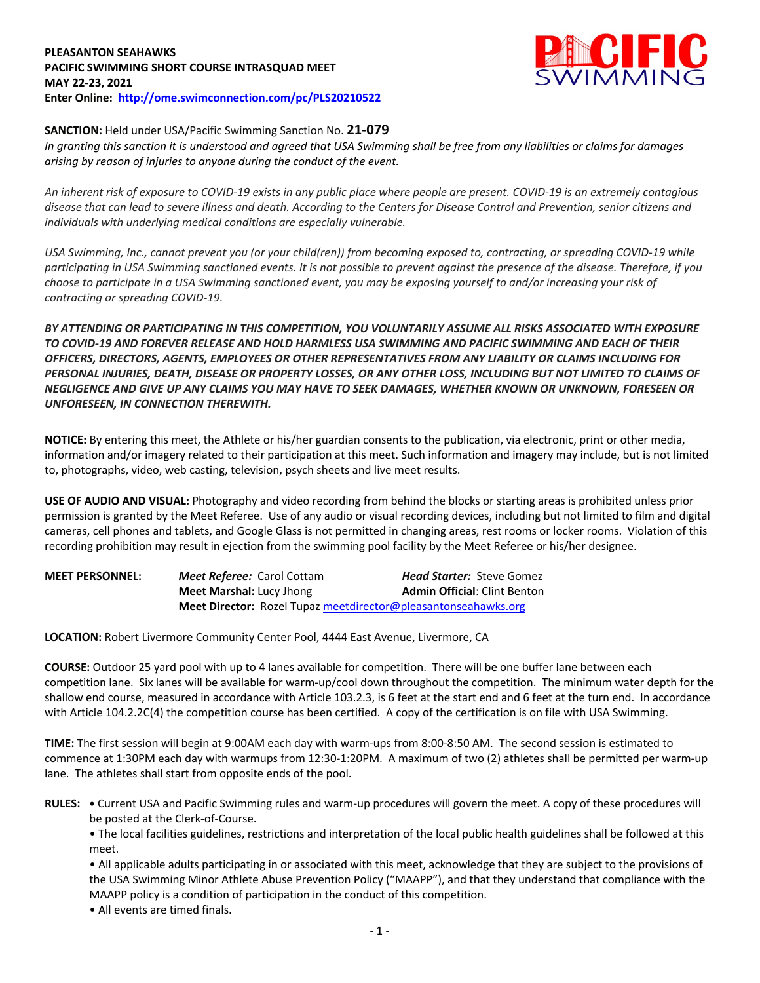## **PLEASANTON SEAHAWKS PACIFIC SWIMMING SHORT COURSE INTRASQUAD MEET MAY 22-23, 2021 Enter Online: http://ome.swimconnection.com/pc/PLS20210522**



## **SANCTION:** Held under USA/Pacific Swimming Sanction No. **21-079**

*In granting this sanction it is understood and agreed that USA Swimming shall be free from any liabilities or claims for damages arising by reason of injuries to anyone during the conduct of the event.* 

*An inherent risk of exposure to COVID-19 exists in any public place where people are present. COVID-19 is an extremely contagious disease that can lead to severe illness and death. According to the Centers for Disease Control and Prevention, senior citizens and individuals with underlying medical conditions are especially vulnerable.*

*USA Swimming, Inc., cannot prevent you (or your child(ren)) from becoming exposed to, contracting, or spreading COVID-19 while participating in USA Swimming sanctioned events. It is not possible to prevent against the presence of the disease. Therefore, if you choose to participate in a USA Swimming sanctioned event, you may be exposing yourself to and/or increasing your risk of contracting or spreading COVID-19.*

*BY ATTENDING OR PARTICIPATING IN THIS COMPETITION, YOU VOLUNTARILY ASSUME ALL RISKS ASSOCIATED WITH EXPOSURE TO COVID-19 AND FOREVER RELEASE AND HOLD HARMLESS USA SWIMMING AND PACIFIC SWIMMING AND EACH OF THEIR OFFICERS, DIRECTORS, AGENTS, EMPLOYEES OR OTHER REPRESENTATIVES FROM ANY LIABILITY OR CLAIMS INCLUDING FOR PERSONAL INJURIES, DEATH, DISEASE OR PROPERTY LOSSES, OR ANY OTHER LOSS, INCLUDING BUT NOT LIMITED TO CLAIMS OF NEGLIGENCE AND GIVE UP ANY CLAIMS YOU MAY HAVE TO SEEK DAMAGES, WHETHER KNOWN OR UNKNOWN, FORESEEN OR UNFORESEEN, IN CONNECTION THEREWITH.*

**NOTICE:** By entering this meet, the Athlete or his/her guardian consents to the publication, via electronic, print or other media, information and/or imagery related to their participation at this meet. Such information and imagery may include, but is not limited to, photographs, video, web casting, television, psych sheets and live meet results.

**USE OF AUDIO AND VISUAL:** Photography and video recording from behind the blocks or starting areas is prohibited unless prior permission is granted by the Meet Referee. Use of any audio or visual recording devices, including but not limited to film and digital cameras, cell phones and tablets, and Google Glass is not permitted in changing areas, rest rooms or locker rooms. Violation of this recording prohibition may result in ejection from the swimming pool facility by the Meet Referee or his/her designee.

| <b>MEET PERSONNEL:</b> | <b>Meet Referee: Carol Cottam</b>                              | <b>Head Starter:</b> Steve Gomez    |
|------------------------|----------------------------------------------------------------|-------------------------------------|
|                        | <b>Meet Marshal: Lucy Jhong</b>                                | <b>Admin Official: Clint Benton</b> |
|                        | Meet Director: Rozel Tupaz meetdirector@pleasantonseahawks.org |                                     |

**LOCATION:** Robert Livermore Community Center Pool, 4444 East Avenue, Livermore, CA

**COURSE:** Outdoor 25 yard pool with up to 4 lanes available for competition.There will be one buffer lane between each competition lane. Six lanes will be available for warm-up/cool down throughout the competition. The minimum water depth for the shallow end course, measured in accordance with Article 103.2.3, is 6 feet at the start end and 6 feet at the turn end. In accordance with Article 104.2.2C(4) the competition course has been certified. A copy of the certification is on file with USA Swimming.

**TIME:** The first session will begin at 9:00AM each day with warm-ups from 8:00-8:50 AM. The second session is estimated to commence at 1:30PM each day with warmups from 12:30-1:20PM. A maximum of two (2) athletes shall be permitted per warm-up lane. The athletes shall start from opposite ends of the pool.

**RULES: •** Current USA and Pacific Swimming rules and warm-up procedures will govern the meet. A copy of these procedures will be posted at the Clerk-of-Course.

• The local facilities guidelines, restrictions and interpretation of the local public health guidelines shall be followed at this meet.

• All applicable adults participating in or associated with this meet, acknowledge that they are subject to the provisions of the USA Swimming Minor Athlete Abuse Prevention Policy ("MAAPP"), and that they understand that compliance with the MAAPP policy is a condition of participation in the conduct of this competition.

• All events are timed finals.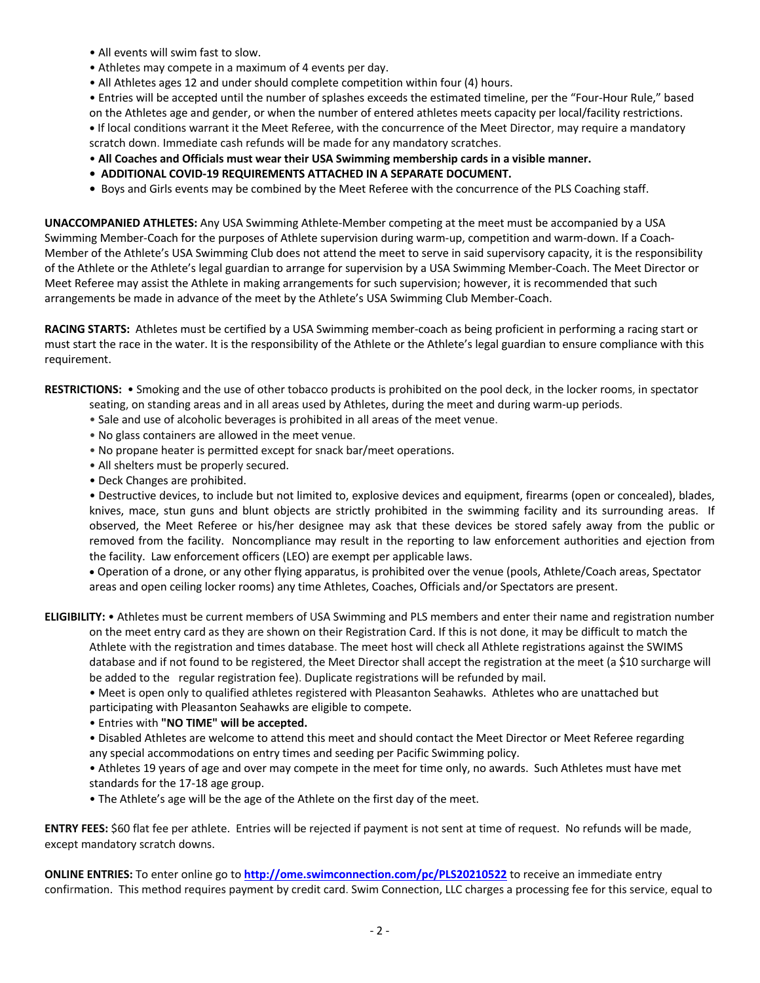- All events will swim fast to slow.
- Athletes may compete in a maximum of 4 events per day.
- All Athletes ages 12 and under should complete competition within four (4) hours.

• Entries will be accepted until the number of splashes exceeds the estimated timeline, per the "Four-Hour Rule," based on the Athletes age and gender, or when the number of entered athletes meets capacity per local/facility restrictions. **•** If local conditions warrant it the Meet Referee, with the concurrence of the Meet Director, may require a mandatory scratch down. Immediate cash refunds will be made for any mandatory scratches.

- **All Coaches and Officials must wear their USA Swimming membership cards in a visible manner.**
- **ADDITIONAL COVID-19 REQUIREMENTS ATTACHED IN A SEPARATE DOCUMENT.**
- Boys and Girls events may be combined by the Meet Referee with the concurrence of the PLS Coaching staff.

**UNACCOMPANIED ATHLETES:** Any USA Swimming Athlete-Member competing at the meet must be accompanied by a USA Swimming Member-Coach for the purposes of Athlete supervision during warm-up, competition and warm-down. If a Coach-Member of the Athlete's USA Swimming Club does not attend the meet to serve in said supervisory capacity, it is the responsibility of the Athlete or the Athlete's legal guardian to arrange for supervision by a USA Swimming Member-Coach. The Meet Director or Meet Referee may assist the Athlete in making arrangements for such supervision; however, it is recommended that such arrangements be made in advance of the meet by the Athlete's USA Swimming Club Member-Coach.

**RACING STARTS:** Athletes must be certified by a USA Swimming member-coach as being proficient in performing a racing start or must start the race in the water. It is the responsibility of the Athlete or the Athlete's legal guardian to ensure compliance with this requirement.

**RESTRICTIONS:** • Smoking and the use of other tobacco products is prohibited on the pool deck, in the locker rooms, in spectator

- seating, on standing areas and in all areas used by Athletes, during the meet and during warm-up periods.
	- Sale and use of alcoholic beverages is prohibited in all areas of the meet venue.
	- No glass containers are allowed in the meet venue.
	- No propane heater is permitted except for snack bar/meet operations.
	- All shelters must be properly secured.
	- Deck Changes are prohibited.

• Destructive devices, to include but not limited to, explosive devices and equipment, firearms (open or concealed), blades, knives, mace, stun guns and blunt objects are strictly prohibited in the swimming facility and its surrounding areas. If observed, the Meet Referee or his/her designee may ask that these devices be stored safely away from the public or removed from the facility. Noncompliance may result in the reporting to law enforcement authorities and ejection from the facility. Law enforcement officers (LEO) are exempt per applicable laws.

• Operation of a drone, or any other flying apparatus, is prohibited over the venue (pools, Athlete/Coach areas, Spectator areas and open ceiling locker rooms) any time Athletes, Coaches, Officials and/or Spectators are present.

**ELIGIBILITY:** • Athletes must be current members of USA Swimming and PLS members and enter their name and registration number on the meet entry card as they are shown on their Registration Card. If this is not done, it may be difficult to match the Athlete with the registration and times database. The meet host will check all Athlete registrations against the SWIMS database and if not found to be registered, the Meet Director shall accept the registration at the meet (a \$10 surcharge will be added to the regular registration fee). Duplicate registrations will be refunded by mail.

• Meet is open only to qualified athletes registered with Pleasanton Seahawks. Athletes who are unattached but participating with Pleasanton Seahawks are eligible to compete.

• Entries with **"NO TIME" will be accepted.**

• Disabled Athletes are welcome to attend this meet and should contact the Meet Director or Meet Referee regarding any special accommodations on entry times and seeding per Pacific Swimming policy.

• Athletes 19 years of age and over may compete in the meet for time only, no awards. Such Athletes must have met standards for the 17-18 age group.

• The Athlete's age will be the age of the Athlete on the first day of the meet.

**ENTRY FEES:** \$60 flat fee per athlete. Entries will be rejected if payment is not sent at time of request. No refunds will be made, except mandatory scratch downs.

**ONLINE ENTRIES:** To enter online go to **http://ome.swimconnection.com/pc/PLS20210522** to receive an immediate entry confirmation. This method requires payment by credit card. Swim Connection, LLC charges a processing fee for this service, equal to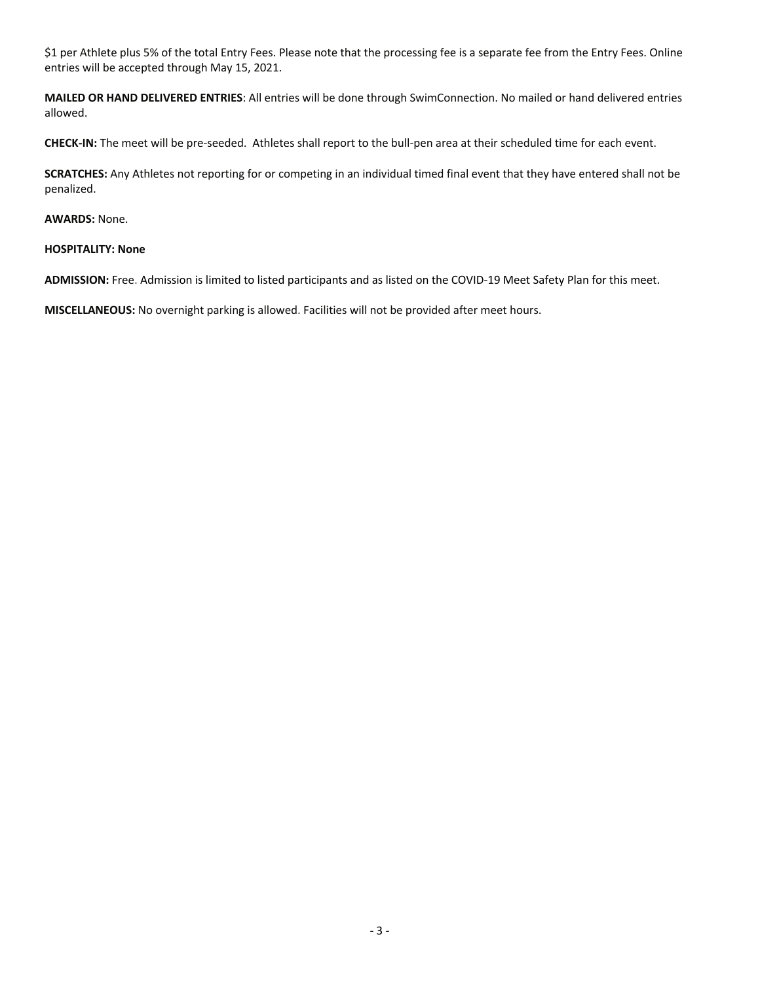\$1 per Athlete plus 5% of the total Entry Fees. Please note that the processing fee is a separate fee from the Entry Fees. Online entries will be accepted through May 15, 2021.

**MAILED OR HAND DELIVERED ENTRIES**: All entries will be done through SwimConnection. No mailed or hand delivered entries allowed.

**CHECK-IN:** The meet will be pre-seeded. Athletes shall report to the bull-pen area at their scheduled time for each event.

**SCRATCHES:** Any Athletes not reporting for or competing in an individual timed final event that they have entered shall not be penalized.

## **AWARDS:** None.

## **HOSPITALITY: None**

**ADMISSION:** Free. Admission is limited to listed participants and as listed on the COVID-19 Meet Safety Plan for this meet.

**MISCELLANEOUS:** No overnight parking is allowed. Facilities will not be provided after meet hours.